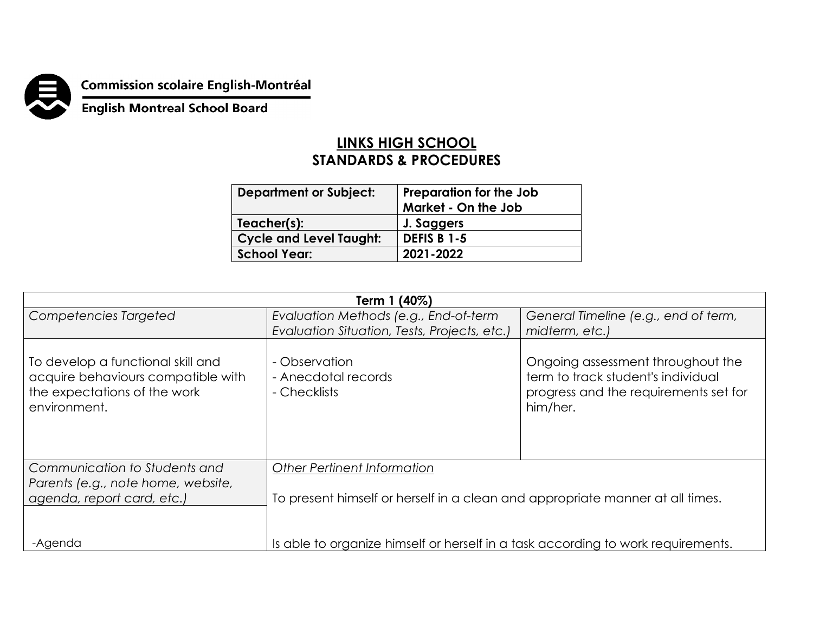

**Commission scolaire English-Montréal<br>English Montreal School Board** 

## **LINKS HIGH SCHOOL STANDARDS & PROCEDURES**

| <b>Department or Subject:</b>  | Preparation for the Job |
|--------------------------------|-------------------------|
|                                |                         |
| Teacher(s):                    | J. Saggers              |
| <b>Cycle and Level Taught:</b> | <b>DEFIS B 1-5</b>      |
| <b>School Year:</b>            | 2021-2022               |
|                                | Market - On the Job     |

| Term 1 (40%)                                                                                                            |                                                                                  |                                                                                                                              |  |  |
|-------------------------------------------------------------------------------------------------------------------------|----------------------------------------------------------------------------------|------------------------------------------------------------------------------------------------------------------------------|--|--|
| Competencies Targeted                                                                                                   | Evaluation Methods (e.g., End-of-term                                            | General Timeline (e.g., end of term,                                                                                         |  |  |
|                                                                                                                         | Evaluation Situation, Tests, Projects, etc.)                                     | midterm, etc.)                                                                                                               |  |  |
| To develop a functional skill and<br>acquire behaviours compatible with<br>the expectations of the work<br>environment. | - Observation<br>- Anecdotal records<br>- Checklists                             | Ongoing assessment throughout the<br>term to track student's individual<br>progress and the requirements set for<br>him/her. |  |  |
| Communication to Students and                                                                                           | <b>Other Pertinent Information</b>                                               |                                                                                                                              |  |  |
| Parents (e.g., note home, website,<br>agenda, report card, etc.)                                                        | To present himself or herself in a clean and appropriate manner at all times.    |                                                                                                                              |  |  |
| -Agenda                                                                                                                 | Is able to organize himself or herself in a task according to work requirements. |                                                                                                                              |  |  |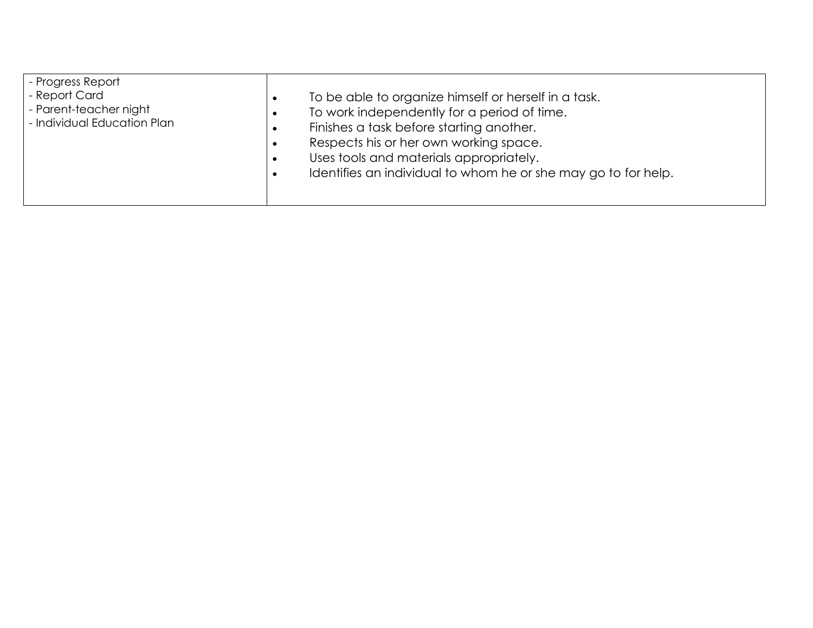| - Progress Report<br>- Report Card<br>- Parent-teacher night<br>- Individual Education Plan | To be able to organize himself or herself in a task.<br>To work independently for a period of time.<br>Finishes a task before starting another.<br>Respects his or her own working space.<br>Uses tools and materials appropriately.<br>Identifies an individual to whom he or she may go to for help. |
|---------------------------------------------------------------------------------------------|--------------------------------------------------------------------------------------------------------------------------------------------------------------------------------------------------------------------------------------------------------------------------------------------------------|
|---------------------------------------------------------------------------------------------|--------------------------------------------------------------------------------------------------------------------------------------------------------------------------------------------------------------------------------------------------------------------------------------------------------|